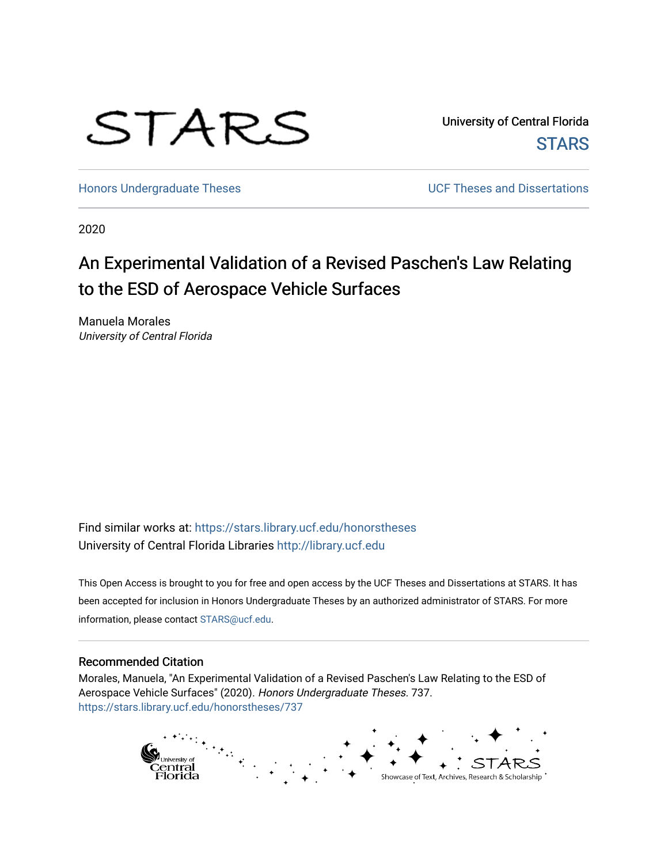

University of Central Florida **STARS** 

[Honors Undergraduate Theses](https://stars.library.ucf.edu/honorstheses) **No. 2018** UCF Theses and Dissertations

2020

# An Experimental Validation of a Revised Paschen's Law Relating to the ESD of Aerospace Vehicle Surfaces

Manuela Morales University of Central Florida

Find similar works at: <https://stars.library.ucf.edu/honorstheses> University of Central Florida Libraries [http://library.ucf.edu](http://library.ucf.edu/) 

This Open Access is brought to you for free and open access by the UCF Theses and Dissertations at STARS. It has been accepted for inclusion in Honors Undergraduate Theses by an authorized administrator of STARS. For more information, please contact [STARS@ucf.edu.](mailto:STARS@ucf.edu)

#### Recommended Citation

Morales, Manuela, "An Experimental Validation of a Revised Paschen's Law Relating to the ESD of Aerospace Vehicle Surfaces" (2020). Honors Undergraduate Theses. 737. [https://stars.library.ucf.edu/honorstheses/737](https://stars.library.ucf.edu/honorstheses/737?utm_source=stars.library.ucf.edu%2Fhonorstheses%2F737&utm_medium=PDF&utm_campaign=PDFCoverPages) 

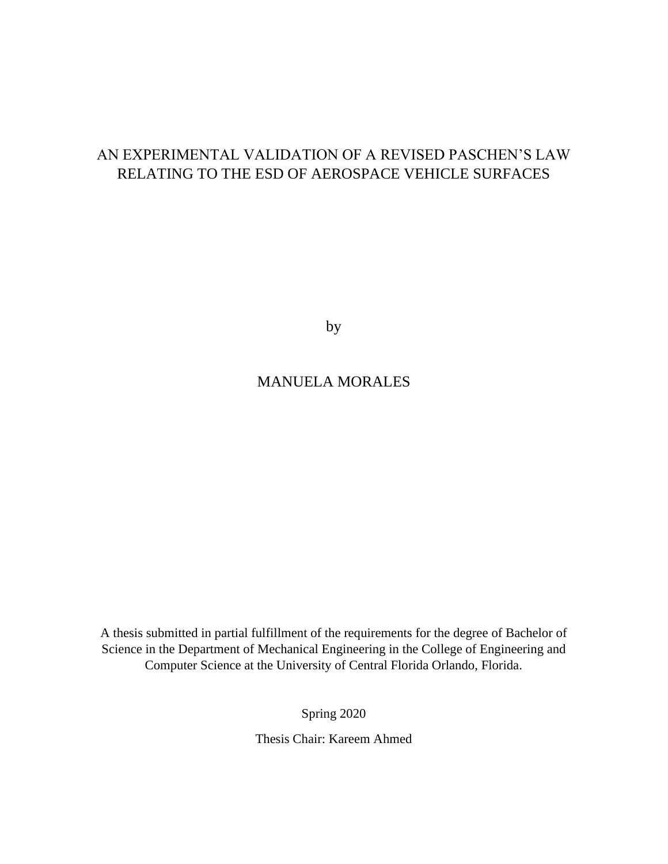# AN EXPERIMENTAL VALIDATION OF A REVISED PASCHEN'S LAW RELATING TO THE ESD OF AEROSPACE VEHICLE SURFACES

by

# MANUELA MORALES

A thesis submitted in partial fulfillment of the requirements for the degree of Bachelor of Science in the Department of Mechanical Engineering in the College of Engineering and Computer Science at the University of Central Florida Orlando, Florida.

Spring 2020

Thesis Chair: Kareem Ahmed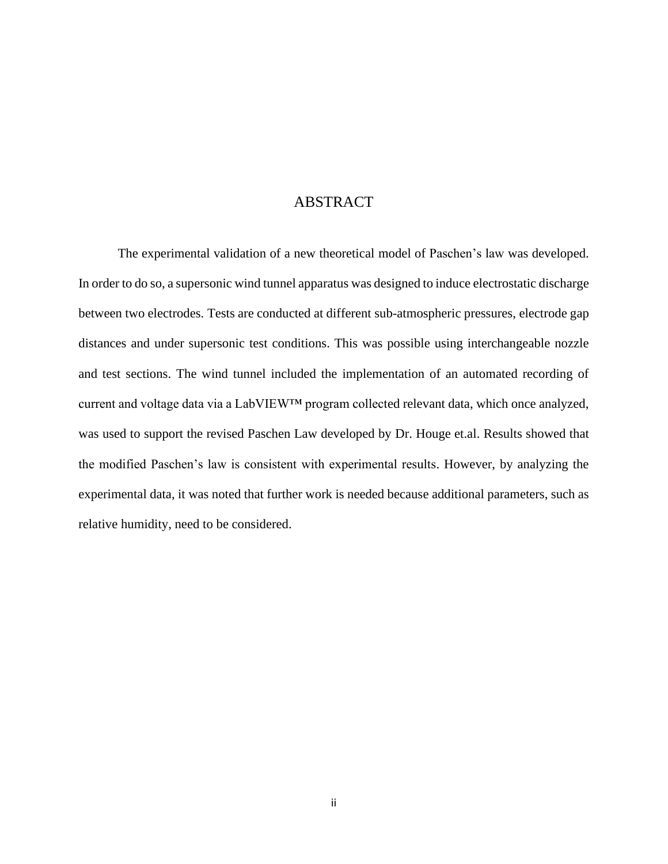# ABSTRACT

The experimental validation of a new theoretical model of Paschen's law was developed. In order to do so, a supersonic wind tunnel apparatus was designed to induce electrostatic discharge between two electrodes. Tests are conducted at different sub-atmospheric pressures, electrode gap distances and under supersonic test conditions. This was possible using interchangeable nozzle and test sections. The wind tunnel included the implementation of an automated recording of current and voltage data via a LabVIEW™ program collected relevant data, which once analyzed, was used to support the revised Paschen Law developed by Dr. Houge et.al. Results showed that the modified Paschen's law is consistent with experimental results. However, by analyzing the experimental data, it was noted that further work is needed because additional parameters, such as relative humidity, need to be considered.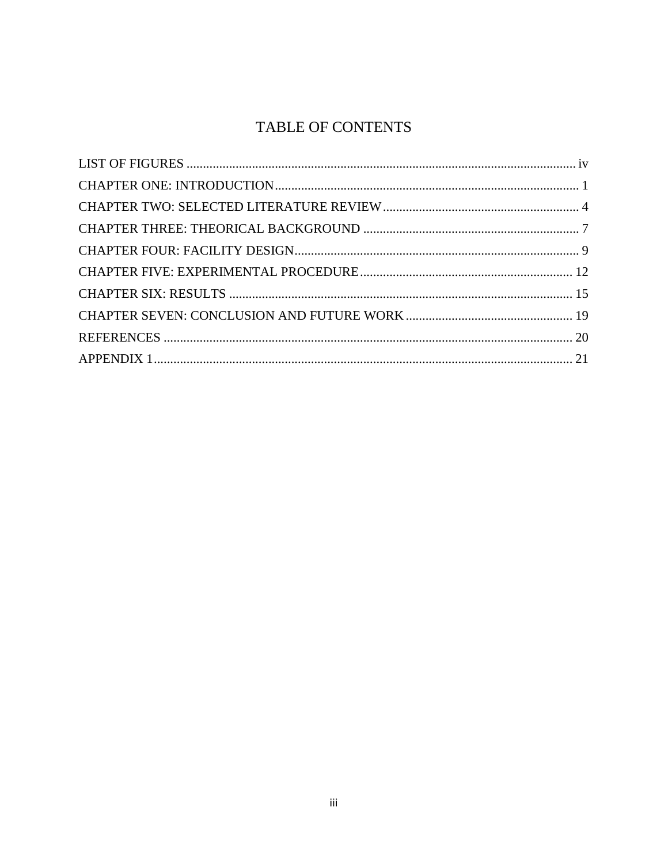# **TABLE OF CONTENTS**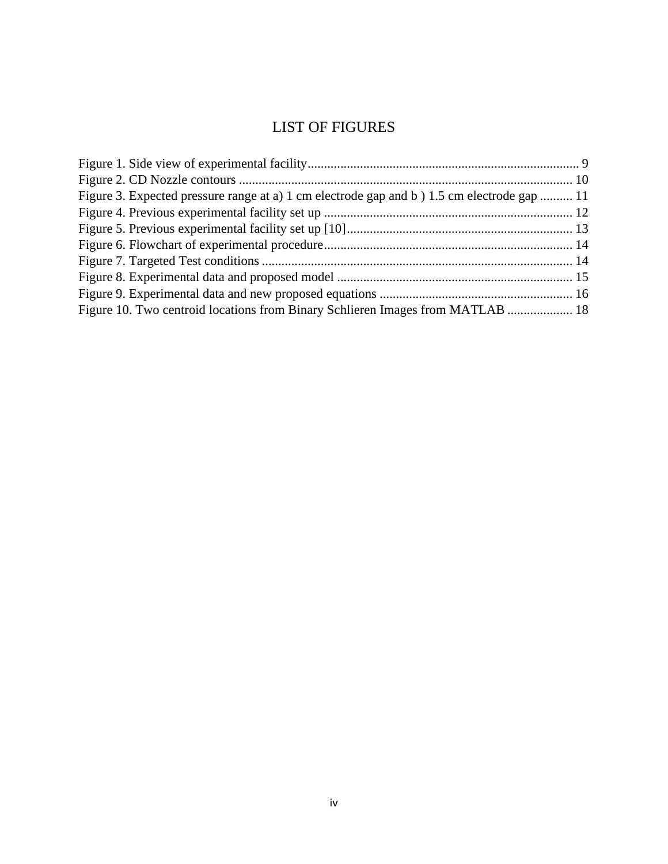# LIST OF FIGURES

<span id="page-4-0"></span>

| Figure 3. Expected pressure range at a) 1 cm electrode gap and b $\,$ 1.5 cm electrode gap  11 |  |
|------------------------------------------------------------------------------------------------|--|
|                                                                                                |  |
|                                                                                                |  |
|                                                                                                |  |
|                                                                                                |  |
|                                                                                                |  |
|                                                                                                |  |
| Figure 10. Two centroid locations from Binary Schlieren Images from MATLAB  18                 |  |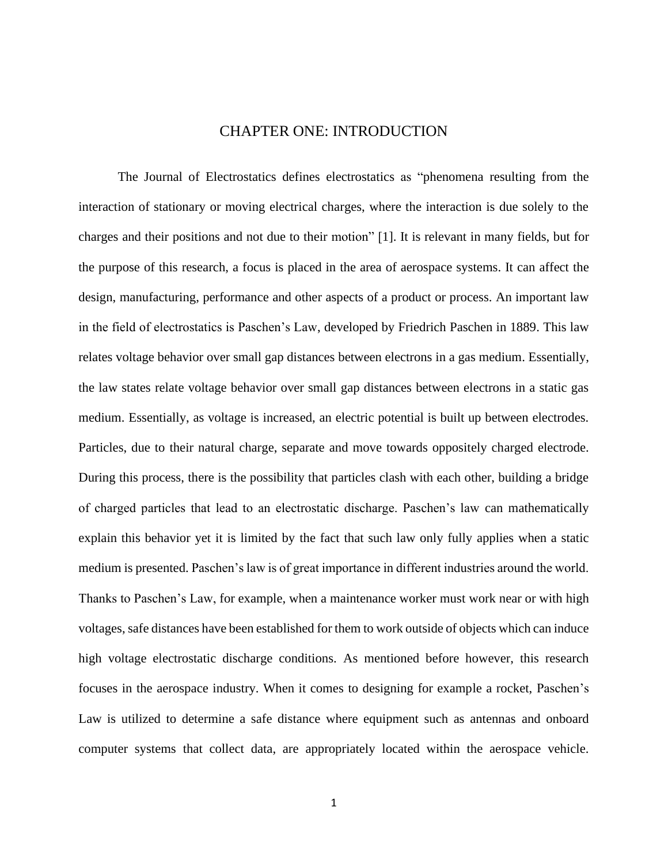# CHAPTER ONE: INTRODUCTION

<span id="page-5-0"></span>The Journal of Electrostatics defines electrostatics as "phenomena resulting from the interaction of stationary or moving electrical charges, where the interaction is due solely to the charges and their positions and not due to their motion" [1]. It is relevant in many fields, but for the purpose of this research, a focus is placed in the area of aerospace systems. It can affect the design, manufacturing, performance and other aspects of a product or process. An important law in the field of electrostatics is Paschen's Law, developed by Friedrich Paschen in 1889. This law relates voltage behavior over small gap distances between electrons in a gas medium. Essentially, the law states relate voltage behavior over small gap distances between electrons in a static gas medium. Essentially, as voltage is increased, an electric potential is built up between electrodes. Particles, due to their natural charge, separate and move towards oppositely charged electrode. During this process, there is the possibility that particles clash with each other, building a bridge of charged particles that lead to an electrostatic discharge. Paschen's law can mathematically explain this behavior yet it is limited by the fact that such law only fully applies when a static medium is presented. Paschen's law is of great importance in different industries around the world. Thanks to Paschen's Law, for example, when a maintenance worker must work near or with high voltages, safe distances have been established for them to work outside of objects which can induce high voltage electrostatic discharge conditions. As mentioned before however, this research focuses in the aerospace industry. When it comes to designing for example a rocket, Paschen's Law is utilized to determine a safe distance where equipment such as antennas and onboard computer systems that collect data, are appropriately located within the aerospace vehicle.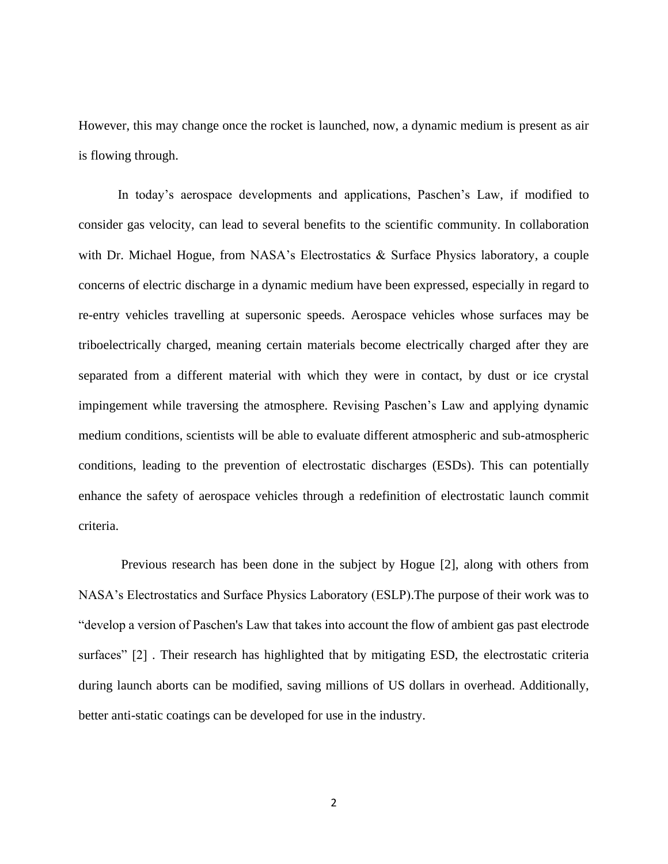However, this may change once the rocket is launched, now, a dynamic medium is present as air is flowing through.

In today's aerospace developments and applications, Paschen's Law, if modified to consider gas velocity, can lead to several benefits to the scientific community. In collaboration with Dr. Michael Hogue, from NASA's Electrostatics & Surface Physics laboratory, a couple concerns of electric discharge in a dynamic medium have been expressed, especially in regard to re-entry vehicles travelling at supersonic speeds. Aerospace vehicles whose surfaces may be triboelectrically charged, meaning certain materials become electrically charged after they are separated from a different material with which they were in contact, by dust or ice crystal impingement while traversing the atmosphere. Revising Paschen's Law and applying dynamic medium conditions, scientists will be able to evaluate different atmospheric and sub-atmospheric conditions, leading to the prevention of electrostatic discharges (ESDs). This can potentially enhance the safety of aerospace vehicles through a redefinition of electrostatic launch commit criteria.

Previous research has been done in the subject by Hogue [2], along with others from NASA's Electrostatics and Surface Physics Laboratory (ESLP).The purpose of their work was to "develop a version of Paschen's Law that takes into account the flow of ambient gas past electrode surfaces" [2]. Their research has highlighted that by mitigating ESD, the electrostatic criteria during launch aborts can be modified, saving millions of US dollars in overhead. Additionally, better anti-static coatings can be developed for use in the industry.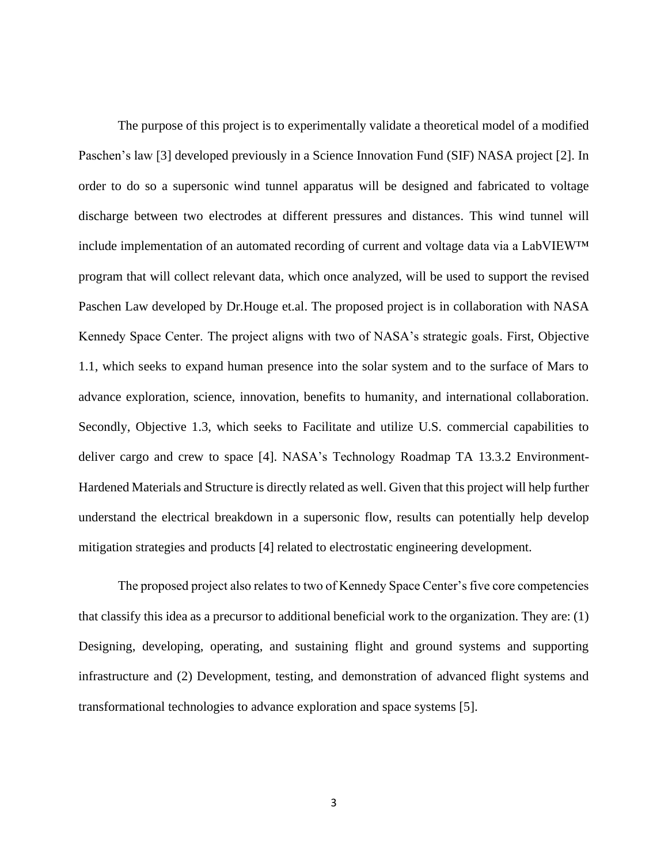The purpose of this project is to experimentally validate a theoretical model of a modified Paschen's law [3] developed previously in a Science Innovation Fund (SIF) NASA project [2]. In order to do so a supersonic wind tunnel apparatus will be designed and fabricated to voltage discharge between two electrodes at different pressures and distances. This wind tunnel will include implementation of an automated recording of current and voltage data via a LabVIEW™ program that will collect relevant data, which once analyzed, will be used to support the revised Paschen Law developed by Dr.Houge et.al. The proposed project is in collaboration with NASA Kennedy Space Center. The project aligns with two of NASA's strategic goals. First, Objective 1.1, which seeks to expand human presence into the solar system and to the surface of Mars to advance exploration, science, innovation, benefits to humanity, and international collaboration. Secondly, Objective 1.3, which seeks to Facilitate and utilize U.S. commercial capabilities to deliver cargo and crew to space [4]. NASA's Technology Roadmap TA 13.3.2 Environment-Hardened Materials and Structure is directly related as well. Given that this project will help further understand the electrical breakdown in a supersonic flow, results can potentially help develop mitigation strategies and products [4] related to electrostatic engineering development.

The proposed project also relates to two of Kennedy Space Center's five core competencies that classify this idea as a precursor to additional beneficial work to the organization. They are: (1) Designing, developing, operating, and sustaining flight and ground systems and supporting infrastructure and (2) Development, testing, and demonstration of advanced flight systems and transformational technologies to advance exploration and space systems [5].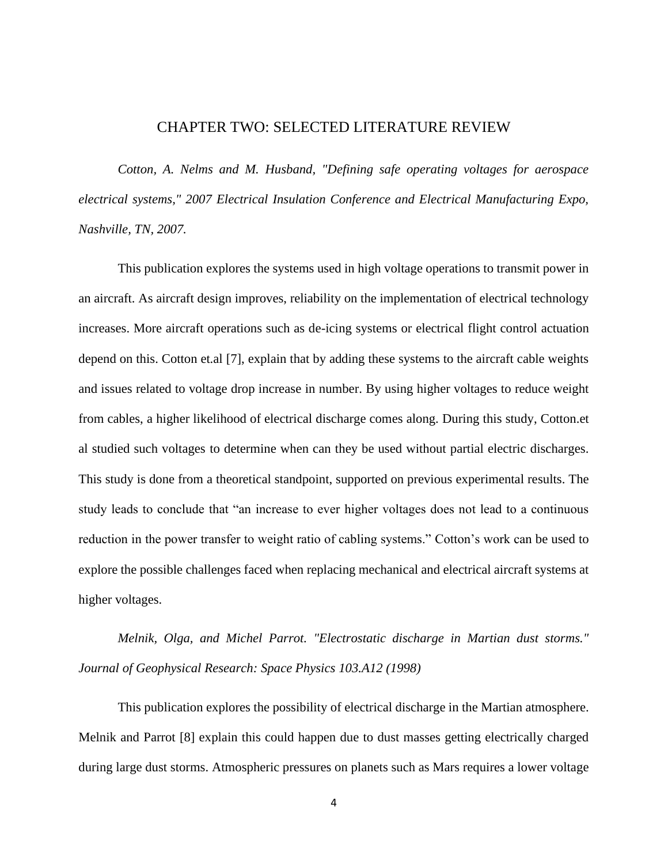#### CHAPTER TWO: SELECTED LITERATURE REVIEW

<span id="page-8-0"></span>*Cotton, A. Nelms and M. Husband, "Defining safe operating voltages for aerospace electrical systems," 2007 Electrical Insulation Conference and Electrical Manufacturing Expo, Nashville, TN, 2007.*

This publication explores the systems used in high voltage operations to transmit power in an aircraft. As aircraft design improves, reliability on the implementation of electrical technology increases. More aircraft operations such as de-icing systems or electrical flight control actuation depend on this. Cotton et.al [7], explain that by adding these systems to the aircraft cable weights and issues related to voltage drop increase in number. By using higher voltages to reduce weight from cables, a higher likelihood of electrical discharge comes along. During this study, Cotton.et al studied such voltages to determine when can they be used without partial electric discharges. This study is done from a theoretical standpoint, supported on previous experimental results. The study leads to conclude that "an increase to ever higher voltages does not lead to a continuous reduction in the power transfer to weight ratio of cabling systems." Cotton's work can be used to explore the possible challenges faced when replacing mechanical and electrical aircraft systems at higher voltages.

*Melnik, Olga, and Michel Parrot. "Electrostatic discharge in Martian dust storms." Journal of Geophysical Research: Space Physics 103.A12 (1998)*

This publication explores the possibility of electrical discharge in the Martian atmosphere. Melnik and Parrot [8] explain this could happen due to dust masses getting electrically charged during large dust storms. Atmospheric pressures on planets such as Mars requires a lower voltage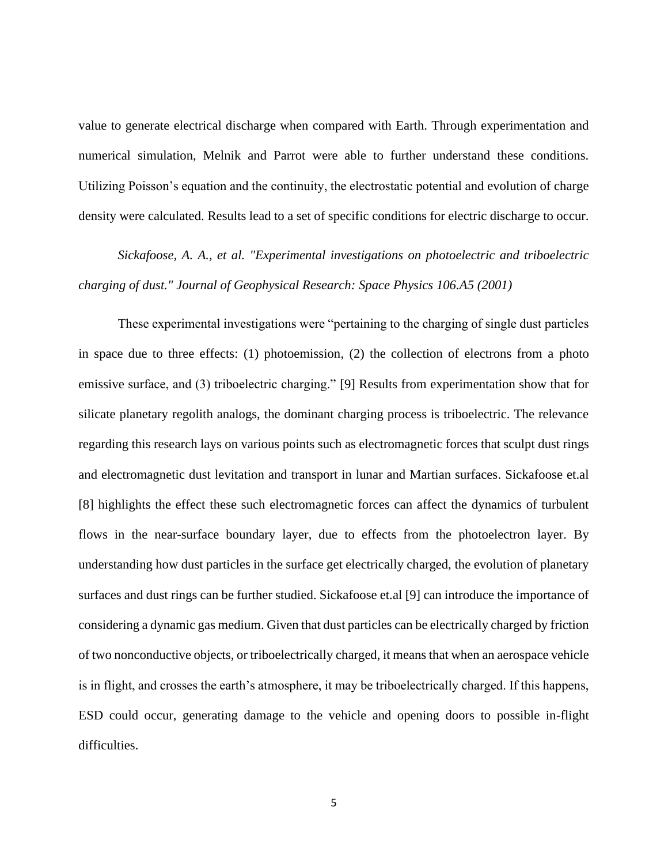value to generate electrical discharge when compared with Earth. Through experimentation and numerical simulation, Melnik and Parrot were able to further understand these conditions. Utilizing Poisson's equation and the continuity, the electrostatic potential and evolution of charge density were calculated. Results lead to a set of specific conditions for electric discharge to occur.

*Sickafoose, A. A., et al. "Experimental investigations on photoelectric and triboelectric charging of dust." Journal of Geophysical Research: Space Physics 106.A5 (2001)*

These experimental investigations were "pertaining to the charging of single dust particles in space due to three effects: (1) photoemission, (2) the collection of electrons from a photo emissive surface, and (3) triboelectric charging." [9] Results from experimentation show that for silicate planetary regolith analogs, the dominant charging process is triboelectric. The relevance regarding this research lays on various points such as electromagnetic forces that sculpt dust rings and electromagnetic dust levitation and transport in lunar and Martian surfaces. Sickafoose et.al [8] highlights the effect these such electromagnetic forces can affect the dynamics of turbulent flows in the near-surface boundary layer, due to effects from the photoelectron layer. By understanding how dust particles in the surface get electrically charged, the evolution of planetary surfaces and dust rings can be further studied. Sickafoose et.al [9] can introduce the importance of considering a dynamic gas medium. Given that dust particles can be electrically charged by friction of two nonconductive objects, or triboelectrically charged, it means that when an aerospace vehicle is in flight, and crosses the earth's atmosphere, it may be triboelectrically charged. If this happens, ESD could occur, generating damage to the vehicle and opening doors to possible in-flight difficulties.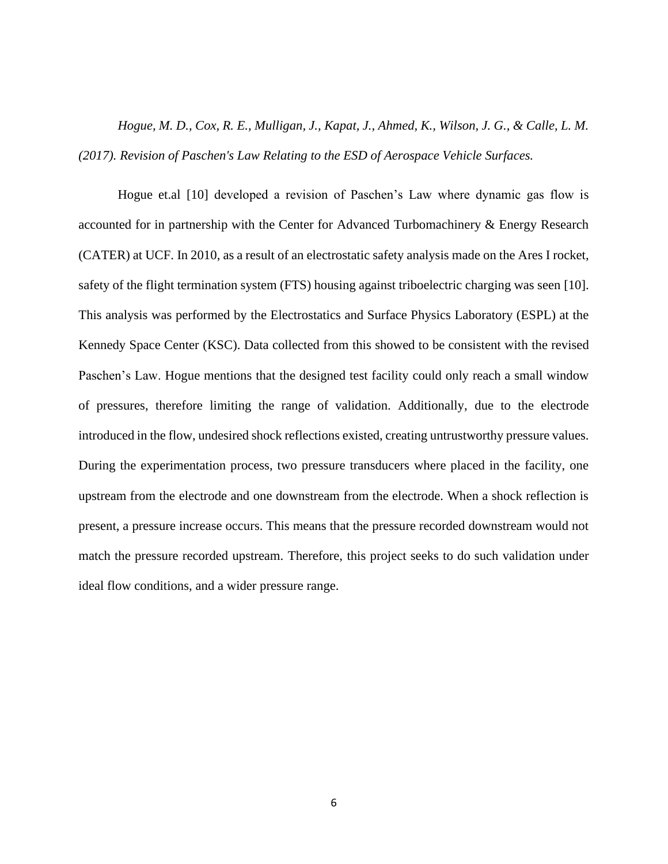*Hogue, M. D., Cox, R. E., Mulligan, J., Kapat, J., Ahmed, K., Wilson, J. G., & Calle, L. M. (2017). Revision of Paschen's Law Relating to the ESD of Aerospace Vehicle Surfaces.*

Hogue et.al [10] developed a revision of Paschen's Law where dynamic gas flow is accounted for in partnership with the Center for Advanced Turbomachinery & Energy Research (CATER) at UCF. In 2010, as a result of an electrostatic safety analysis made on the Ares I rocket, safety of the flight termination system (FTS) housing against triboelectric charging was seen [10]. This analysis was performed by the Electrostatics and Surface Physics Laboratory (ESPL) at the Kennedy Space Center (KSC). Data collected from this showed to be consistent with the revised Paschen's Law. Hogue mentions that the designed test facility could only reach a small window of pressures, therefore limiting the range of validation. Additionally, due to the electrode introduced in the flow, undesired shock reflections existed, creating untrustworthy pressure values. During the experimentation process, two pressure transducers where placed in the facility, one upstream from the electrode and one downstream from the electrode. When a shock reflection is present, a pressure increase occurs. This means that the pressure recorded downstream would not match the pressure recorded upstream. Therefore, this project seeks to do such validation under ideal flow conditions, and a wider pressure range.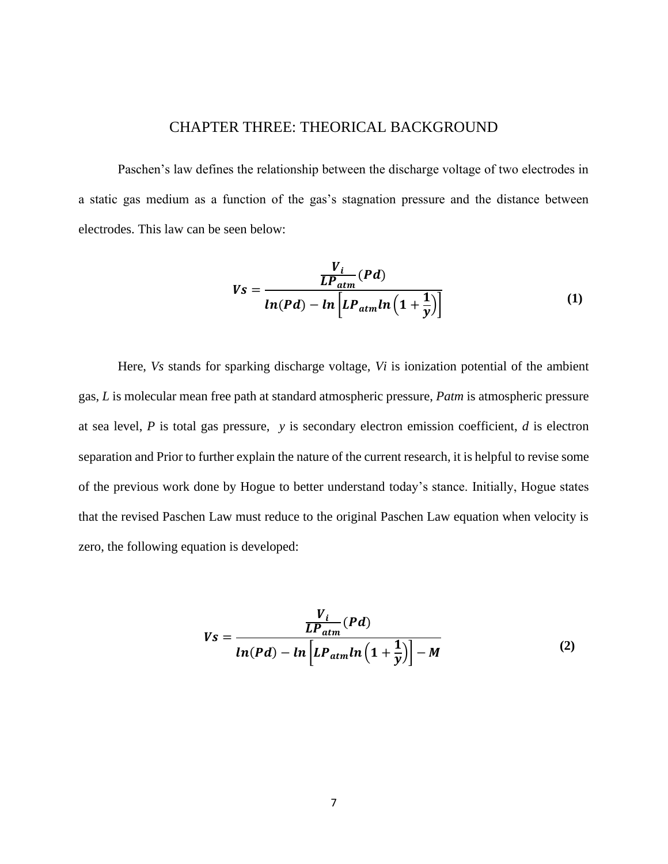# CHAPTER THREE: THEORICAL BACKGROUND

<span id="page-11-0"></span>Paschen's law defines the relationship between the discharge voltage of two electrodes in a static gas medium as a function of the gas's stagnation pressure and the distance between electrodes. This law can be seen below:

$$
Vs = \frac{\frac{V_i}{LP_{atm}}(Pd)}{ln(Pd) - ln \left[ LP_{atm}ln\left(1 + \frac{1}{y}\right) \right]}
$$
(1)

Here, *Vs* stands for sparking discharge voltage, *Vi* is ionization potential of the ambient gas, *L* is molecular mean free path at standard atmospheric pressure, *Patm* is atmospheric pressure at sea level, *P* is total gas pressure, *y* is secondary electron emission coefficient, *d* is electron separation and Prior to further explain the nature of the current research, it is helpful to revise some of the previous work done by Hogue to better understand today's stance. Initially, Hogue states that the revised Paschen Law must reduce to the original Paschen Law equation when velocity is zero, the following equation is developed:

$$
Vs = \frac{\frac{V_i}{LP_{atm}}(Pd)}{ln(Pd) - ln \left[LP_{atm}ln\left(1 + \frac{1}{y}\right)\right] - M}
$$
\n(2)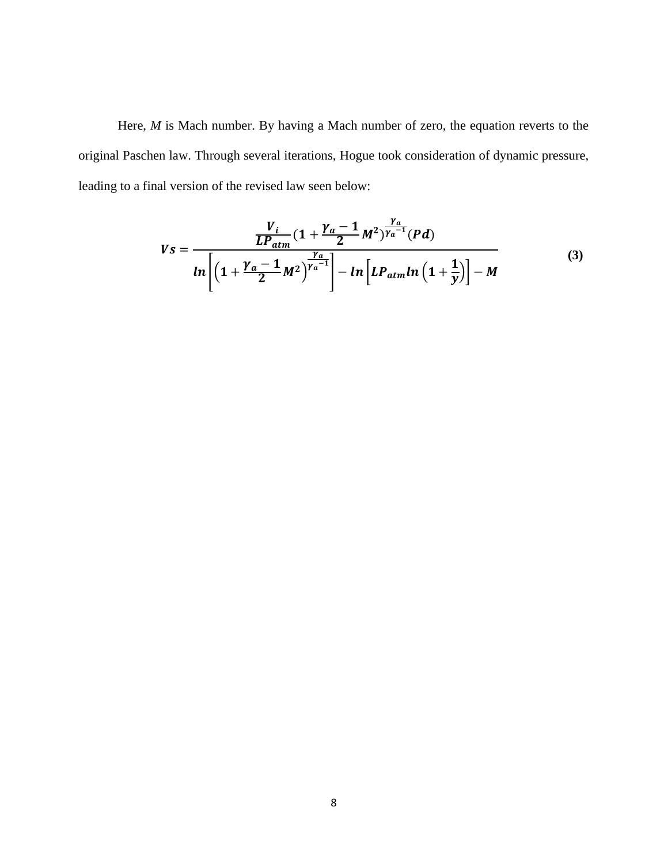Here, *M* is Mach number. By having a Mach number of zero, the equation reverts to the original Paschen law. Through several iterations, Hogue took consideration of dynamic pressure, leading to a final version of the revised law seen below:

$$
Vs = \frac{\frac{V_i}{LP_{atm}}(1 + \frac{\gamma_a - 1}{2}M^2)^{\frac{\gamma_a}{\gamma_a - 1}}(Pd)}{ln\left[\left(1 + \frac{\gamma_a - 1}{2}M^2\right)^{\frac{\gamma_a}{\gamma_a - 1}}\right] - ln\left[LP_{atm}ln\left(1 + \frac{1}{y}\right)\right] - M}
$$
(3)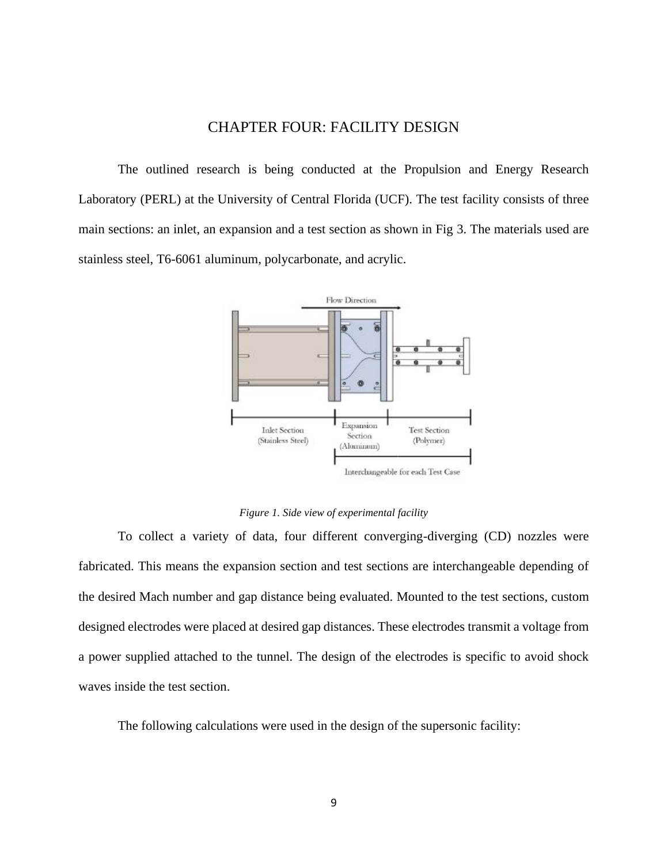#### CHAPTER FOUR: FACILITY DESIGN

<span id="page-13-0"></span>The outlined research is being conducted at the Propulsion and Energy Research Laboratory (PERL) at the University of Central Florida (UCF). The test facility consists of three main sections: an inlet, an expansion and a test section as shown in Fig 3. The materials used are stainless steel, T6-6061 aluminum, polycarbonate, and acrylic.



*Figure 1. Side view of experimental facility*

<span id="page-13-1"></span>To collect a variety of data, four different converging-diverging (CD) nozzles were fabricated. This means the expansion section and test sections are interchangeable depending of the desired Mach number and gap distance being evaluated. Mounted to the test sections, custom designed electrodes were placed at desired gap distances. These electrodes transmit a voltage from a power supplied attached to the tunnel. The design of the electrodes is specific to avoid shock waves inside the test section.

The following calculations were used in the design of the supersonic facility: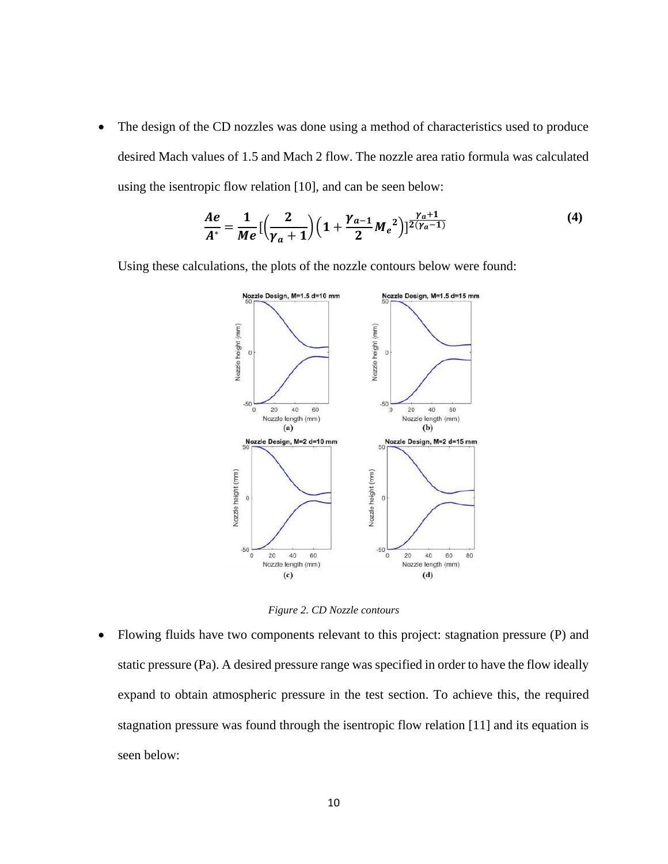• The design of the CD nozzles was done using a method of characteristics used to produce desired Mach values of 1.5 and Mach 2 flow. The nozzle area ratio formula was calculated using the isentropic flow relation [10], and can be seen below:

$$
\frac{Ae}{A^*} = \frac{1}{Me} \left[ \left( \frac{2}{\gamma_a + 1} \right) \left( 1 + \frac{\gamma_{a-1}}{2} M_e^2 \right) \right]^{\frac{\gamma_a + 1}{2(\gamma_a - 1)}} \tag{4}
$$

Using these calculations, the plots of the nozzle contours below were found:



*Figure 2. CD Nozzle contours*

<span id="page-14-0"></span>• Flowing fluids have two components relevant to this project: stagnation pressure (P) and static pressure (Pa). A desired pressure range was specified in order to have the flow ideally expand to obtain atmospheric pressure in the test section. To achieve this, the required stagnation pressure was found through the isentropic flow relation [11] and its equation is seen below: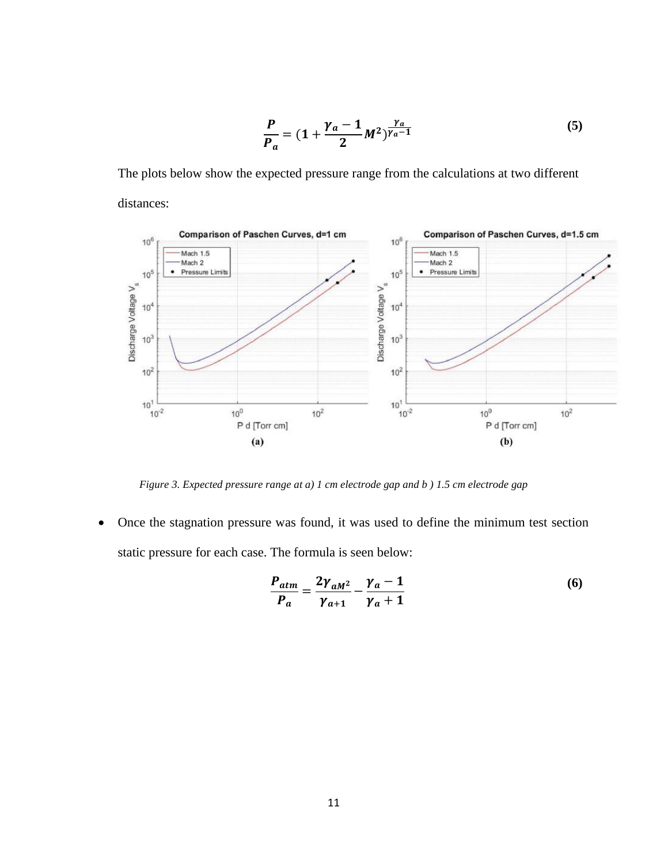$$
\frac{P}{P_a} = (1 + \frac{\gamma_a - 1}{2} M^2)^{\frac{\gamma_a}{\gamma_a - 1}}
$$
\n(5)

The plots below show the expected pressure range from the calculations at two different distances:



*Figure 3. Expected pressure range at a) 1 cm electrode gap and b ) 1.5 cm electrode gap*

<span id="page-15-0"></span>• Once the stagnation pressure was found, it was used to define the minimum test section static pressure for each case. The formula is seen below:

$$
\frac{P_{atm}}{P_a} = \frac{2\gamma_{aM^2}}{\gamma_{a+1}} - \frac{\gamma_a - 1}{\gamma_a + 1}
$$
 (6)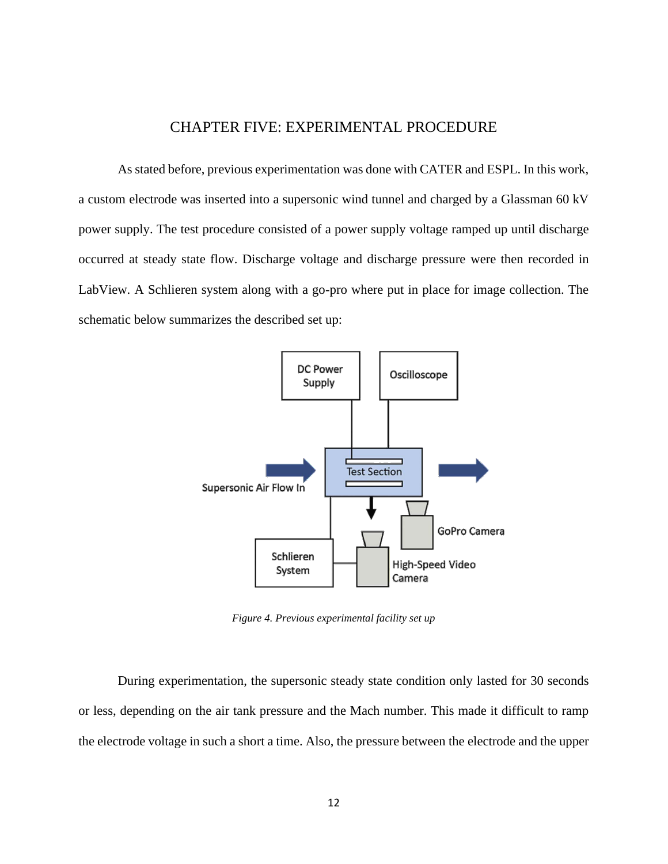# CHAPTER FIVE: EXPERIMENTAL PROCEDURE

<span id="page-16-0"></span>As stated before, previous experimentation was done with CATER and ESPL. In this work, a custom electrode was inserted into a supersonic wind tunnel and charged by a Glassman 60 kV power supply. The test procedure consisted of a power supply voltage ramped up until discharge occurred at steady state flow. Discharge voltage and discharge pressure were then recorded in LabView. A Schlieren system along with a go-pro where put in place for image collection. The schematic below summarizes the described set up:



*Figure 4. Previous experimental facility set up*

<span id="page-16-1"></span>During experimentation, the supersonic steady state condition only lasted for 30 seconds or less, depending on the air tank pressure and the Mach number. This made it difficult to ramp the electrode voltage in such a short a time. Also, the pressure between the electrode and the upper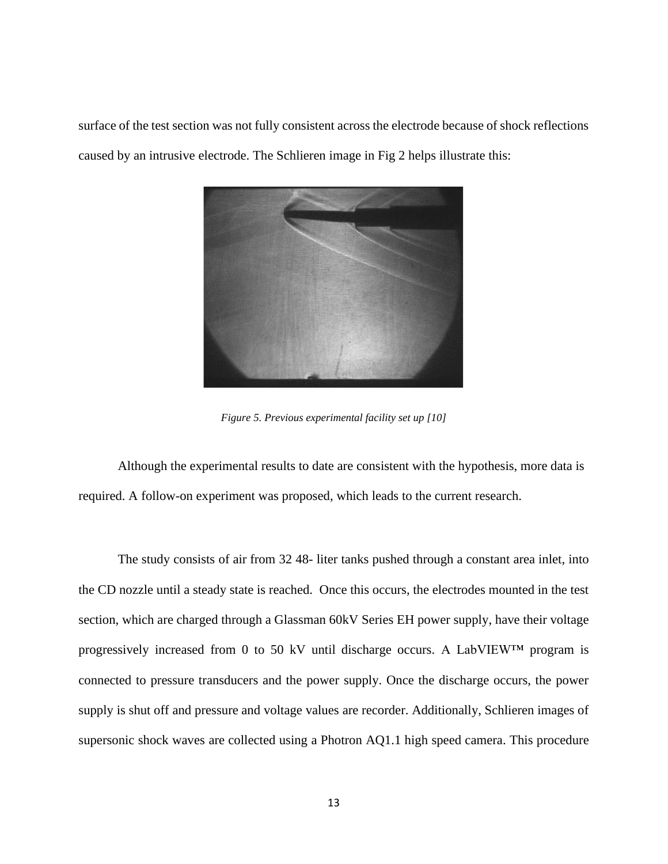surface of the test section was not fully consistent across the electrode because of shock reflections caused by an intrusive electrode. The Schlieren image in Fig 2 helps illustrate this:



*Figure 5. Previous experimental facility set up [10]*

<span id="page-17-0"></span>Although the experimental results to date are consistent with the hypothesis, more data is required. A follow-on experiment was proposed, which leads to the current research.

The study consists of air from 32 48- liter tanks pushed through a constant area inlet, into the CD nozzle until a steady state is reached. Once this occurs, the electrodes mounted in the test section, which are charged through a Glassman 60kV Series EH power supply, have their voltage progressively increased from 0 to 50 kV until discharge occurs. A LabVIEW™ program is connected to pressure transducers and the power supply. Once the discharge occurs, the power supply is shut off and pressure and voltage values are recorder. Additionally, Schlieren images of supersonic shock waves are collected using a Photron AQ1.1 high speed camera. This procedure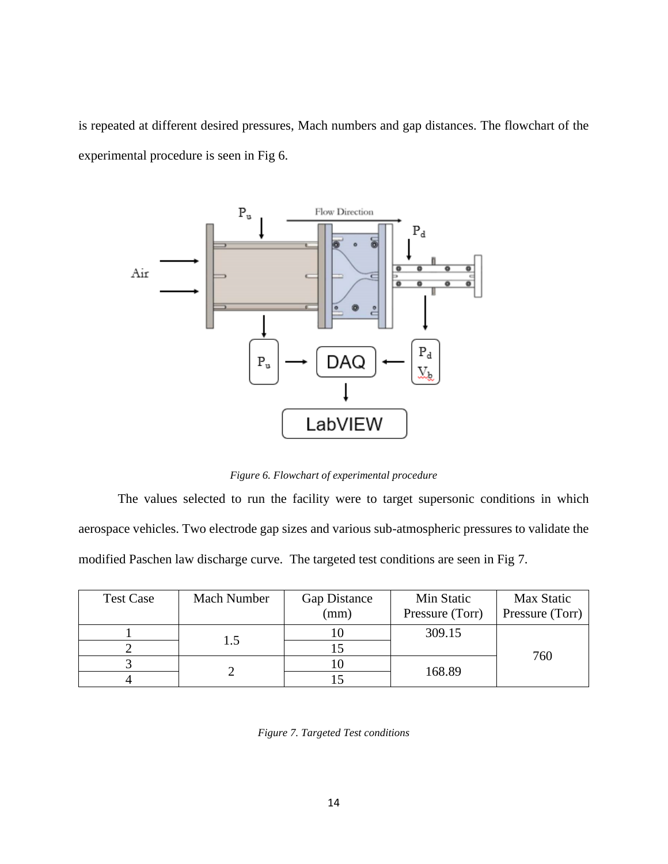is repeated at different desired pressures, Mach numbers and gap distances. The flowchart of the experimental procedure is seen in Fig 6.



*Figure 6. Flowchart of experimental procedure*

<span id="page-18-0"></span>The values selected to run the facility were to target supersonic conditions in which aerospace vehicles. Two electrode gap sizes and various sub-atmospheric pressures to validate the modified Paschen law discharge curve. The targeted test conditions are seen in Fig 7.

<span id="page-18-1"></span>

| <b>Test Case</b> | Mach Number | Gap Distance<br>(mm) | Min Static<br>Pressure (Torr) | Max Static<br>Pressure (Torr) |
|------------------|-------------|----------------------|-------------------------------|-------------------------------|
|                  |             |                      | 309.15                        |                               |
|                  | 1.5         |                      |                               |                               |
|                  |             |                      | 168.89                        | 760                           |
|                  |             |                      |                               |                               |

*Figure 7. Targeted Test conditions*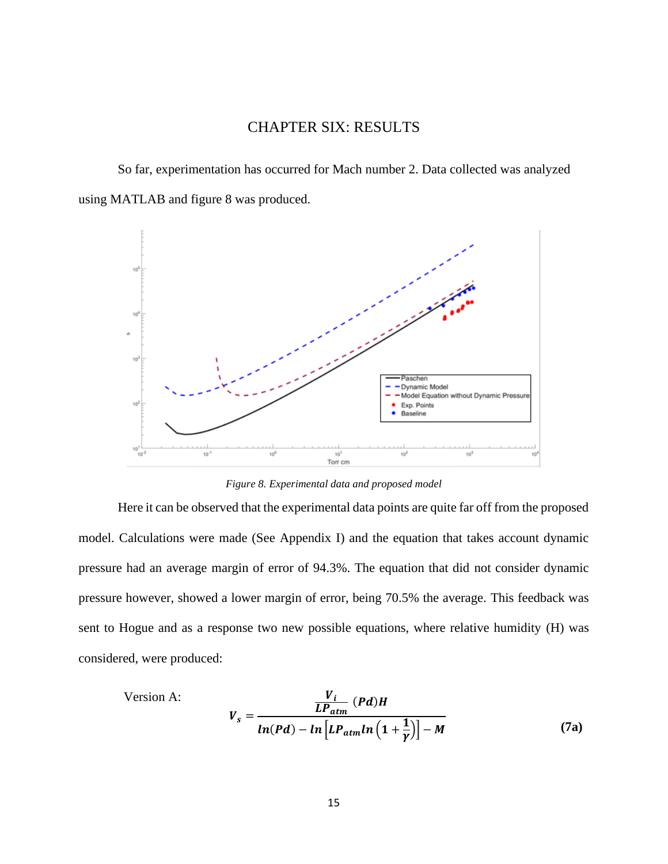# CHAPTER SIX: RESULTS

<span id="page-19-0"></span>So far, experimentation has occurred for Mach number 2. Data collected was analyzed using MATLAB and figure 8 was produced.



*Figure 8. Experimental data and proposed model*

<span id="page-19-1"></span>Here it can be observed that the experimental data points are quite far off from the proposed model. Calculations were made (See Appendix I) and the equation that takes account dynamic pressure had an average margin of error of 94.3%. The equation that did not consider dynamic pressure however, showed a lower margin of error, being 70.5% the average. This feedback was sent to Hogue and as a response two new possible equations, where relative humidity (H) was considered, were produced:

Version A:

$$
V_s = \frac{\frac{V_i}{LP_{atm}} (Pd)H}{ln(Pd) - ln \left[ LP_{atm} ln \left( 1 + \frac{1}{\gamma} \right) \right] - M}
$$
(7a)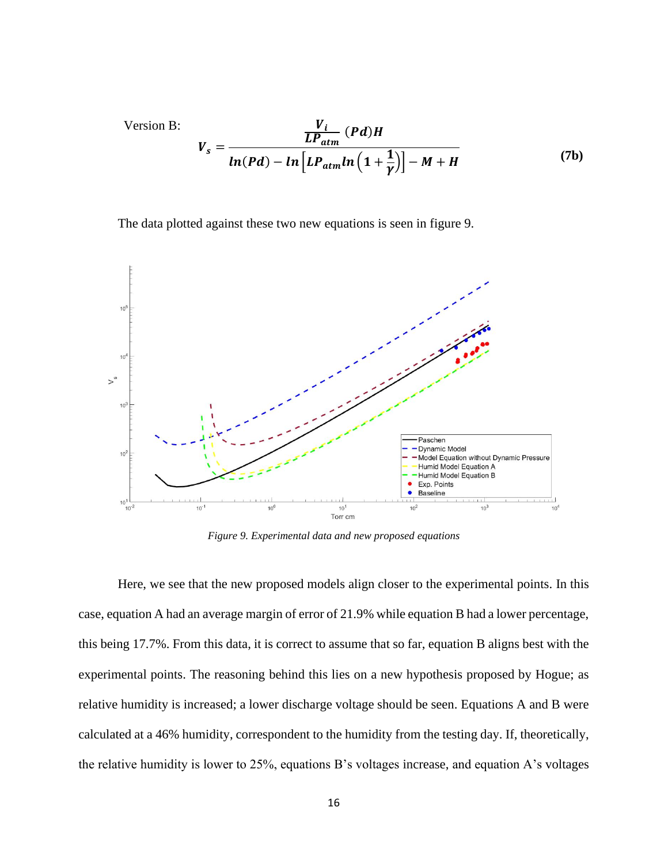Version B:  
\n
$$
V_s = \frac{V_i}{L P_{atm}} (P d) H
$$
\n
$$
V_s = \frac{L P_{atm}}{ln(P d) - ln \left[ L P_{atm} ln \left( 1 + \frac{1}{\gamma} \right) \right] - M + H}
$$
\n(7b)

The data plotted against these two new equations is seen in figure 9.



*Figure 9. Experimental data and new proposed equations*

<span id="page-20-0"></span>Here, we see that the new proposed models align closer to the experimental points. In this case, equation A had an average margin of error of 21.9% while equation B had a lower percentage, this being 17.7%. From this data, it is correct to assume that so far, equation B aligns best with the experimental points. The reasoning behind this lies on a new hypothesis proposed by Hogue; as relative humidity is increased; a lower discharge voltage should be seen. Equations A and B were calculated at a 46% humidity, correspondent to the humidity from the testing day. If, theoretically, the relative humidity is lower to 25%, equations B's voltages increase, and equation A's voltages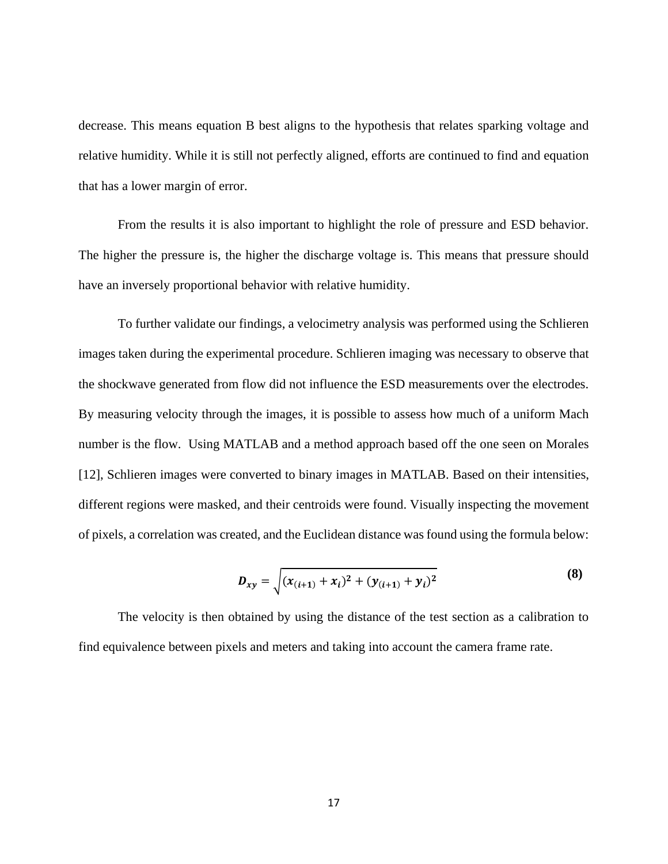decrease. This means equation B best aligns to the hypothesis that relates sparking voltage and relative humidity. While it is still not perfectly aligned, efforts are continued to find and equation that has a lower margin of error.

From the results it is also important to highlight the role of pressure and ESD behavior. The higher the pressure is, the higher the discharge voltage is. This means that pressure should have an inversely proportional behavior with relative humidity.

To further validate our findings, a velocimetry analysis was performed using the Schlieren images taken during the experimental procedure. Schlieren imaging was necessary to observe that the shockwave generated from flow did not influence the ESD measurements over the electrodes. By measuring velocity through the images, it is possible to assess how much of a uniform Mach number is the flow. Using MATLAB and a method approach based off the one seen on Morales [12], Schlieren images were converted to binary images in MATLAB. Based on their intensities, different regions were masked, and their centroids were found. Visually inspecting the movement of pixels, a correlation was created, and the Euclidean distance was found using the formula below:

$$
D_{xy} = \sqrt{(x_{(i+1)} + x_i)^2 + (y_{(i+1)} + y_i)^2}
$$
 (8)

The velocity is then obtained by using the distance of the test section as a calibration to find equivalence between pixels and meters and taking into account the camera frame rate.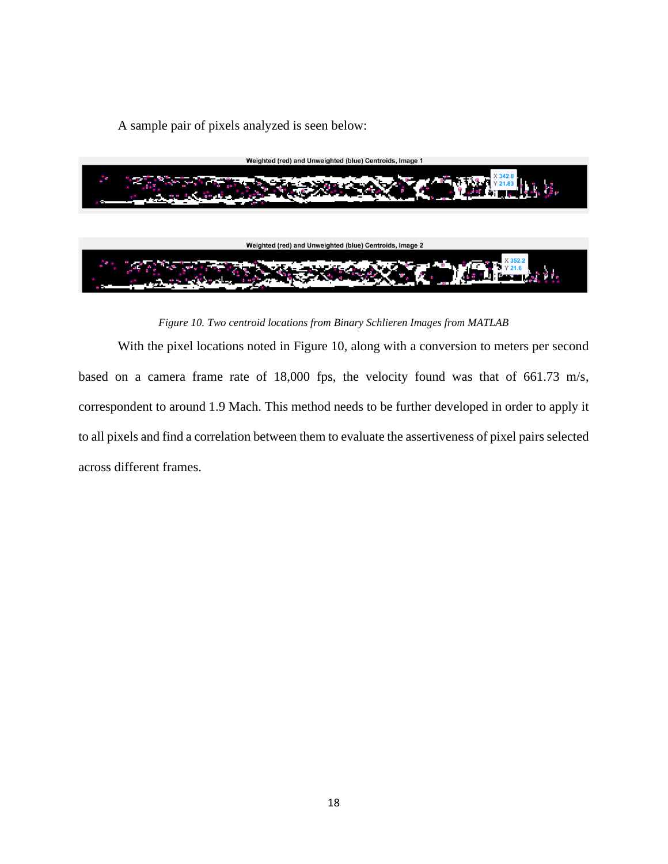A sample pair of pixels analyzed is seen below:



*Figure 10. Two centroid locations from Binary Schlieren Images from MATLAB*

<span id="page-22-0"></span>With the pixel locations noted in Figure 10, along with a conversion to meters per second based on a camera frame rate of 18,000 fps, the velocity found was that of 661.73 m/s, correspondent to around 1.9 Mach. This method needs to be further developed in order to apply it to all pixels and find a correlation between them to evaluate the assertiveness of pixel pairs selected across different frames.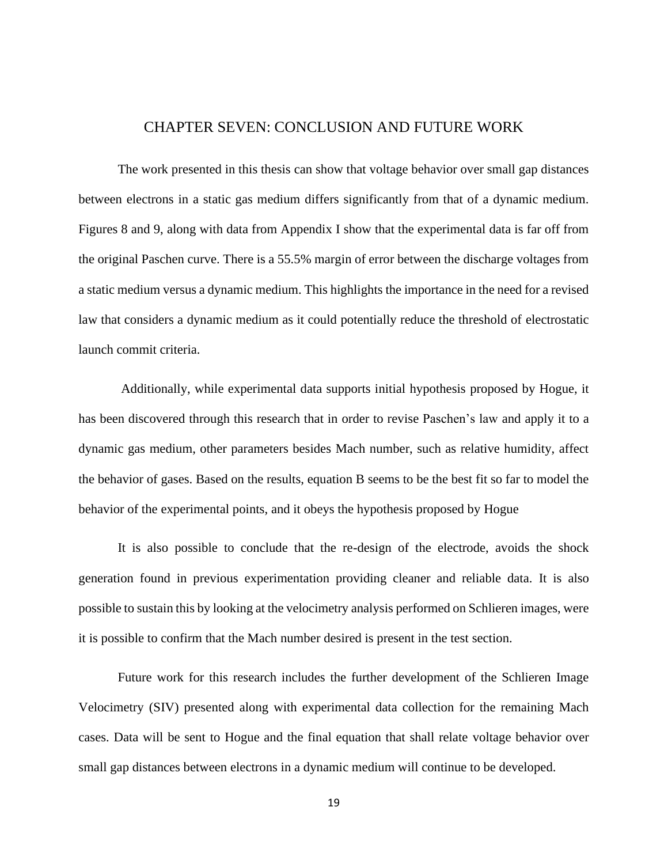### CHAPTER SEVEN: CONCLUSION AND FUTURE WORK

<span id="page-23-0"></span>The work presented in this thesis can show that voltage behavior over small gap distances between electrons in a static gas medium differs significantly from that of a dynamic medium. Figures 8 and 9, along with data from Appendix I show that the experimental data is far off from the original Paschen curve. There is a 55.5% margin of error between the discharge voltages from a static medium versus a dynamic medium. This highlights the importance in the need for a revised law that considers a dynamic medium as it could potentially reduce the threshold of electrostatic launch commit criteria.

Additionally, while experimental data supports initial hypothesis proposed by Hogue, it has been discovered through this research that in order to revise Paschen's law and apply it to a dynamic gas medium, other parameters besides Mach number, such as relative humidity, affect the behavior of gases. Based on the results, equation B seems to be the best fit so far to model the behavior of the experimental points, and it obeys the hypothesis proposed by Hogue

It is also possible to conclude that the re-design of the electrode, avoids the shock generation found in previous experimentation providing cleaner and reliable data. It is also possible to sustain this by looking at the velocimetry analysis performed on Schlieren images, were it is possible to confirm that the Mach number desired is present in the test section.

Future work for this research includes the further development of the Schlieren Image Velocimetry (SIV) presented along with experimental data collection for the remaining Mach cases. Data will be sent to Hogue and the final equation that shall relate voltage behavior over small gap distances between electrons in a dynamic medium will continue to be developed.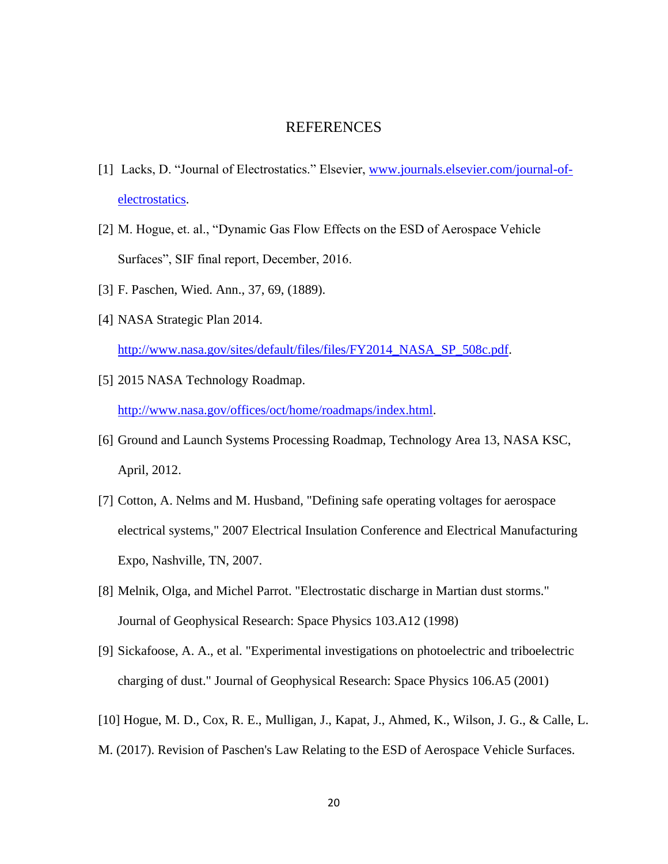#### **REFERENCES**

- <span id="page-24-0"></span>[1] Lacks, D. "Journal of Electrostatics." Elsevier, [www.journals.elsevier.com/journal-of](http://www.journals.elsevier.com/journal-of-electrostatics)[electrostatics.](http://www.journals.elsevier.com/journal-of-electrostatics)
- [2] M. Hogue, et. al., "Dynamic Gas Flow Effects on the ESD of Aerospace Vehicle Surfaces", SIF final report, December, 2016.
- [3] F. Paschen, Wied. Ann., 37, 69, (1889).
- [4] NASA Strategic Plan 2014.

[http://www.nasa.gov/sites/default/files/files/FY2014\\_NASA\\_SP\\_508c.pdf.](http://www.nasa.gov/sites/default/files/files/FY2014_NASA_SP_508c.pdf)

- [5] 2015 NASA Technology Roadmap. [http://www.nasa.gov/offices/oct/home/roadmaps/index.html.](http://www.nasa.gov/offices/oct/home/roadmaps/index.html)
- [6] Ground and Launch Systems Processing Roadmap, Technology Area 13, NASA KSC, April, 2012.
- [7] Cotton, A. Nelms and M. Husband, "Defining safe operating voltages for aerospace electrical systems," 2007 Electrical Insulation Conference and Electrical Manufacturing Expo, Nashville, TN, 2007.
- [8] Melnik, Olga, and Michel Parrot. "Electrostatic discharge in Martian dust storms." Journal of Geophysical Research: Space Physics 103.A12 (1998)
- [9] Sickafoose, A. A., et al. "Experimental investigations on photoelectric and triboelectric charging of dust." Journal of Geophysical Research: Space Physics 106.A5 (2001)
- [10] Hogue, M. D., Cox, R. E., Mulligan, J., Kapat, J., Ahmed, K., Wilson, J. G., & Calle, L.
- M. (2017). Revision of Paschen's Law Relating to the ESD of Aerospace Vehicle Surfaces.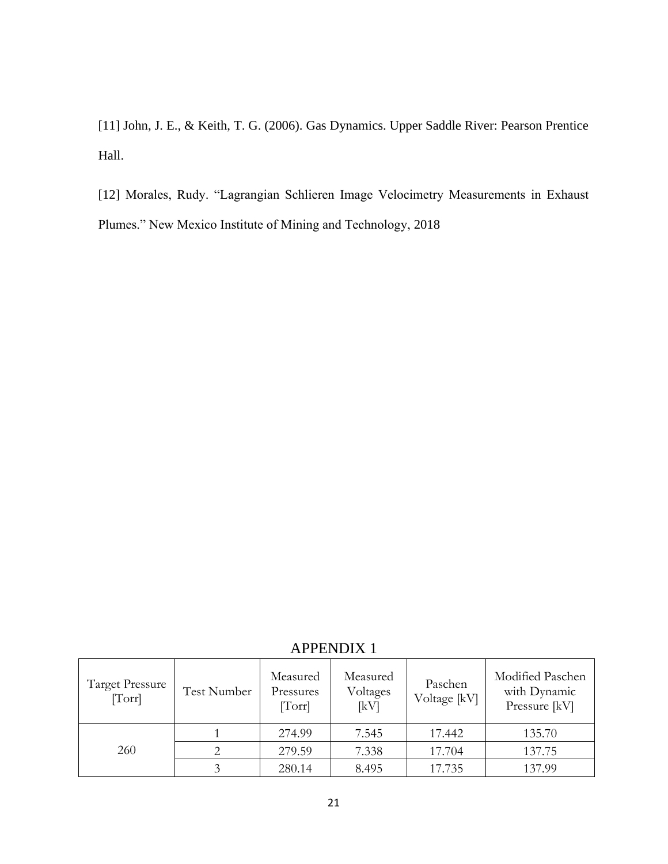[11] John, J. E., & Keith, T. G. (2006). Gas Dynamics. Upper Saddle River: Pearson Prentice Hall.

[12] Morales, Rudy. "Lagrangian Schlieren Image Velocimetry Measurements in Exhaust Plumes." New Mexico Institute of Mining and Technology, 2018

<span id="page-25-0"></span>

| <b>Target Pressure</b><br>[Torr] | Test Number | Measured<br>Pressures<br>[Torr] | Measured<br>Voltages<br>[kV] | Paschen<br>Voltage [kV] | Modified Paschen<br>with Dynamic<br>Pressure [kV] |
|----------------------------------|-------------|---------------------------------|------------------------------|-------------------------|---------------------------------------------------|
| 260                              |             | 274.99                          | 7.545                        | 17.442                  | 135.70                                            |
|                                  | 2           | 279.59                          | 7.338                        | 17.704                  | 137.75                                            |
|                                  |             | 280.14                          | 8.495                        | 17.735                  | 137.99                                            |

APPENDIX 1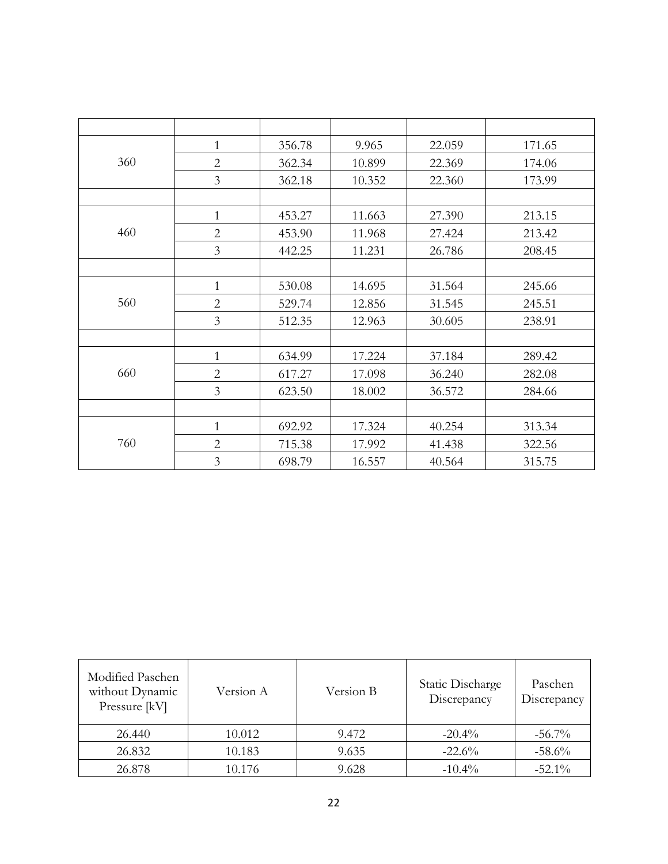|     | $\mathbf{1}$   | 356.78 | 9.965  | 22.059 | 171.65 |
|-----|----------------|--------|--------|--------|--------|
| 360 | $\overline{2}$ | 362.34 | 10.899 | 22.369 | 174.06 |
|     | $\mathfrak{Z}$ | 362.18 | 10.352 | 22.360 | 173.99 |
|     |                |        |        |        |        |
|     | $\mathbf{1}$   | 453.27 | 11.663 | 27.390 | 213.15 |
| 460 | $\overline{2}$ | 453.90 | 11.968 | 27.424 | 213.42 |
|     | $\overline{3}$ | 442.25 | 11.231 | 26.786 | 208.45 |
|     |                |        |        |        |        |
|     | $\mathbf{1}$   | 530.08 | 14.695 | 31.564 | 245.66 |
| 560 | $\overline{2}$ | 529.74 | 12.856 | 31.545 | 245.51 |
|     | 3              | 512.35 | 12.963 | 30.605 | 238.91 |
|     |                |        |        |        |        |
|     | 1              | 634.99 | 17.224 | 37.184 | 289.42 |
| 660 | $\overline{2}$ | 617.27 | 17.098 | 36.240 | 282.08 |
|     | 3              | 623.50 | 18.002 | 36.572 | 284.66 |
|     |                |        |        |        |        |
|     | $\mathbf{1}$   | 692.92 | 17.324 | 40.254 | 313.34 |
| 760 | $\overline{2}$ | 715.38 | 17.992 | 41.438 | 322.56 |
|     | 3              | 698.79 | 16.557 | 40.564 | 315.75 |

| Modified Paschen<br>without Dynamic<br>Pressure [kV] | Version A | Version B | Static Discharge<br>Discrepancy | Paschen<br>Discrepancy |
|------------------------------------------------------|-----------|-----------|---------------------------------|------------------------|
| 26.440                                               | 10.012    | 9.472     | $-20.4\%$                       | $-56.7\%$              |
| 26.832                                               | 10.183    | 9.635     | $-22.6%$                        | $-58.6%$               |
| 26.878                                               | 10.176    | 9.628     | $-10.4%$                        | $-52.1\%$              |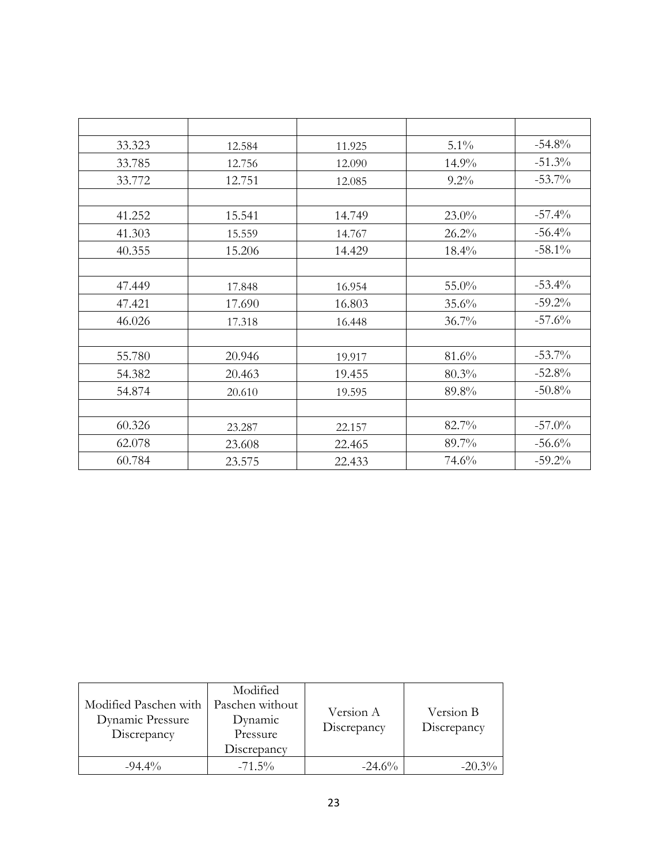| 33.323 | 12.584 | 11.925 | $5.1\%$  | $-54.8\%$ |
|--------|--------|--------|----------|-----------|
| 33.785 | 12.756 | 12.090 | 14.9%    | $-51.3%$  |
| 33.772 | 12.751 | 12.085 | 9.2%     | $-53.7%$  |
|        |        |        |          |           |
| 41.252 | 15.541 | 14.749 | 23.0%    | $-57.4%$  |
| 41.303 | 15.559 | 14.767 | $26.2\%$ | $-56.4%$  |
| 40.355 | 15.206 | 14.429 | 18.4%    | $-58.1\%$ |
|        |        |        |          |           |
| 47.449 | 17.848 | 16.954 | 55.0%    | $-53.4%$  |
| 47.421 | 17.690 | 16.803 | 35.6%    | $-59.2%$  |
| 46.026 | 17.318 | 16.448 | $36.7\%$ | $-57.6%$  |
|        |        |        |          |           |
| 55.780 | 20.946 | 19.917 | 81.6%    | $-53.7%$  |
| 54.382 | 20.463 | 19.455 | $80.3\%$ | $-52.8%$  |
| 54.874 | 20.610 | 19.595 | 89.8%    | $-50.8%$  |
|        |        |        |          |           |
| 60.326 | 23.287 | 22.157 | 82.7%    | $-57.0%$  |
| 62.078 | 23.608 | 22.465 | 89.7%    | $-56.6%$  |
| 60.784 | 23.575 | 22.433 | 74.6%    | $-59.2\%$ |
|        |        |        |          |           |

| Modified Paschen with<br>Dynamic Pressure<br>Discrepancy | Modified<br>Paschen without<br>Dynamic<br>Pressure<br>Discrepancy | Version A<br>Discrepancy | Version B<br>Discrepancy |
|----------------------------------------------------------|-------------------------------------------------------------------|--------------------------|--------------------------|
| $-94.4\%$                                                | $-71.5\%$                                                         | $-24.6%$                 | $-20.3%$                 |